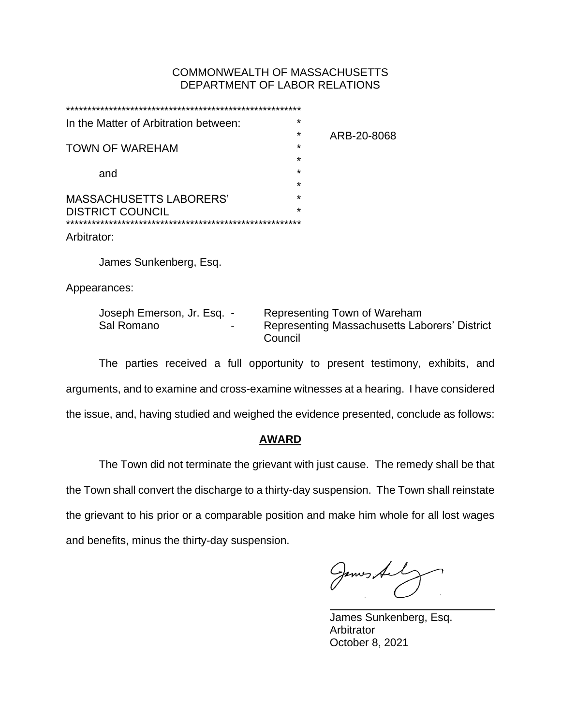## COMMONWEALTH OF MASSACHUSETTS DEPARTMENT OF LABOR RELATIONS

|                                      | In the Matter of Arbitration between:    |  | $\star$                                                                        |  |
|--------------------------------------|------------------------------------------|--|--------------------------------------------------------------------------------|--|
|                                      |                                          |  | *<br>ARB-20-8068                                                               |  |
|                                      | TOWN OF WAREHAM                          |  | $\star$                                                                        |  |
|                                      |                                          |  | $\star$                                                                        |  |
|                                      | and                                      |  | $\star$                                                                        |  |
|                                      |                                          |  | $^\star$                                                                       |  |
| MASSACHUSETTS LABORERS'              |                                          |  | $\star$                                                                        |  |
|                                      | <b>DISTRICT COUNCIL</b>                  |  | $\star$                                                                        |  |
| ************************************ |                                          |  |                                                                                |  |
| Arbitrator:                          |                                          |  |                                                                                |  |
|                                      | James Sunkenberg, Esq.                   |  |                                                                                |  |
|                                      |                                          |  |                                                                                |  |
|                                      | Appearances:                             |  |                                                                                |  |
|                                      |                                          |  |                                                                                |  |
|                                      | Joseph Emerson, Jr. Esq. -<br>Sal Romano |  | Representing Town of Wareham<br>Representing Massachusetts Laborers' District  |  |
|                                      |                                          |  | Council                                                                        |  |
|                                      |                                          |  |                                                                                |  |
|                                      |                                          |  | The nexting resoluted a full ennexturity to necessit tectionship avisibile and |  |

The parties received a full opportunity to present testimony, exhibits, and arguments, and to examine and cross-examine witnesses at a hearing. I have considered the issue, and, having studied and weighed the evidence presented, conclude as follows:

## **AWARD**

The Town did not terminate the grievant with just cause. The remedy shall be that the Town shall convert the discharge to a thirty-day suspension. The Town shall reinstate the grievant to his prior or a comparable position and make him whole for all lost wages and benefits, minus the thirty-day suspension.

James Al

James Sunkenberg, Esq. Arbitrator October 8, 2021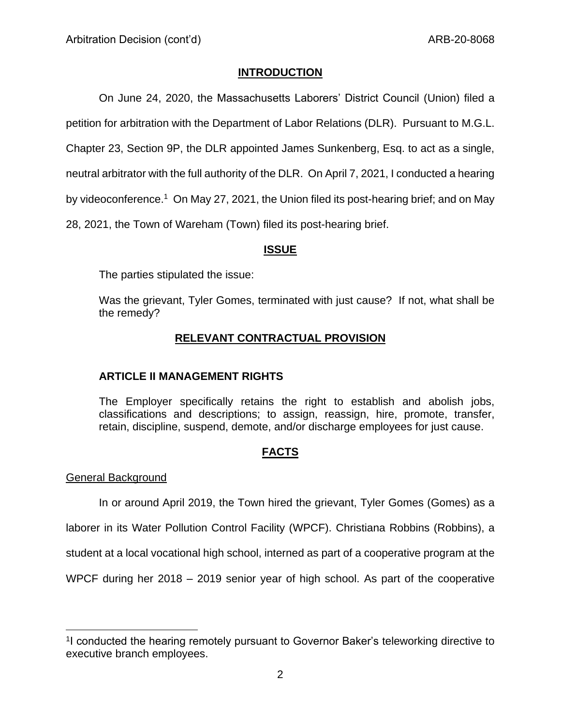# **INTRODUCTION**

On June 24, 2020, the Massachusetts Laborers' District Council (Union) filed a

petition for arbitration with the Department of Labor Relations (DLR). Pursuant to M.G.L.

Chapter 23, Section 9P, the DLR appointed James Sunkenberg, Esq. to act as a single,

neutral arbitrator with the full authority of the DLR. On April 7, 2021, I conducted a hearing

by videoconference.<sup>1</sup> On May 27, 2021, the Union filed its post-hearing brief; and on May

28, 2021, the Town of Wareham (Town) filed its post-hearing brief.

## **ISSUE**

The parties stipulated the issue:

Was the grievant, Tyler Gomes, terminated with just cause? If not, what shall be the remedy?

# **RELEVANT CONTRACTUAL PROVISION**

# **ARTICLE II MANAGEMENT RIGHTS**

The Employer specifically retains the right to establish and abolish jobs, classifications and descriptions; to assign, reassign, hire, promote, transfer, retain, discipline, suspend, demote, and/or discharge employees for just cause.

# **FACTS**

## General Background

In or around April 2019, the Town hired the grievant, Tyler Gomes (Gomes) as a

laborer in its Water Pollution Control Facility (WPCF). Christiana Robbins (Robbins), a

student at a local vocational high school, interned as part of a cooperative program at the

WPCF during her 2018 – 2019 senior year of high school. As part of the cooperative

<sup>&</sup>lt;sup>1</sup>I conducted the hearing remotely pursuant to Governor Baker's teleworking directive to executive branch employees.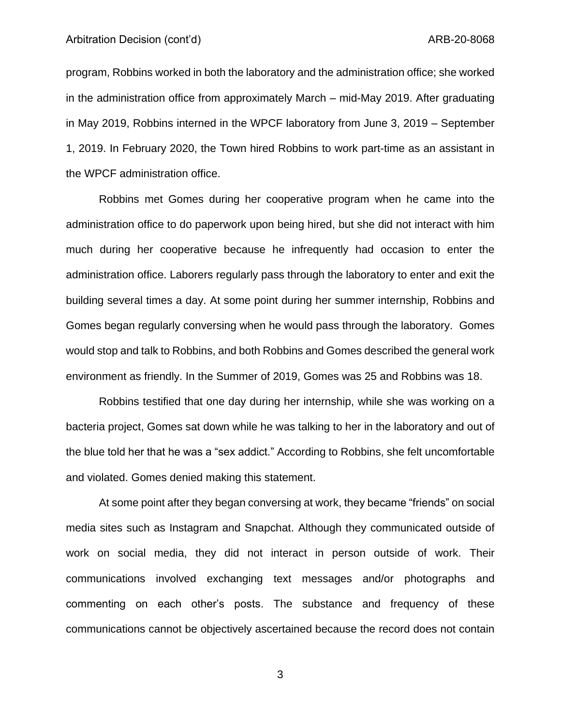#### Arbitration Decision (cont'd) and the context of the context of the ARB-20-8068

program, Robbins worked in both the laboratory and the administration office; she worked in the administration office from approximately March – mid-May 2019. After graduating in May 2019, Robbins interned in the WPCF laboratory from June 3, 2019 – September 1, 2019. In February 2020, the Town hired Robbins to work part-time as an assistant in the WPCF administration office.

Robbins met Gomes during her cooperative program when he came into the administration office to do paperwork upon being hired, but she did not interact with him much during her cooperative because he infrequently had occasion to enter the administration office. Laborers regularly pass through the laboratory to enter and exit the building several times a day. At some point during her summer internship, Robbins and Gomes began regularly conversing when he would pass through the laboratory. Gomes would stop and talk to Robbins, and both Robbins and Gomes described the general work environment as friendly. In the Summer of 2019, Gomes was 25 and Robbins was 18.

Robbins testified that one day during her internship, while she was working on a bacteria project, Gomes sat down while he was talking to her in the laboratory and out of the blue told her that he was a "sex addict." According to Robbins, she felt uncomfortable and violated. Gomes denied making this statement.

At some point after they began conversing at work, they became "friends" on social media sites such as Instagram and Snapchat. Although they communicated outside of work on social media, they did not interact in person outside of work. Their communications involved exchanging text messages and/or photographs and commenting on each other's posts. The substance and frequency of these communications cannot be objectively ascertained because the record does not contain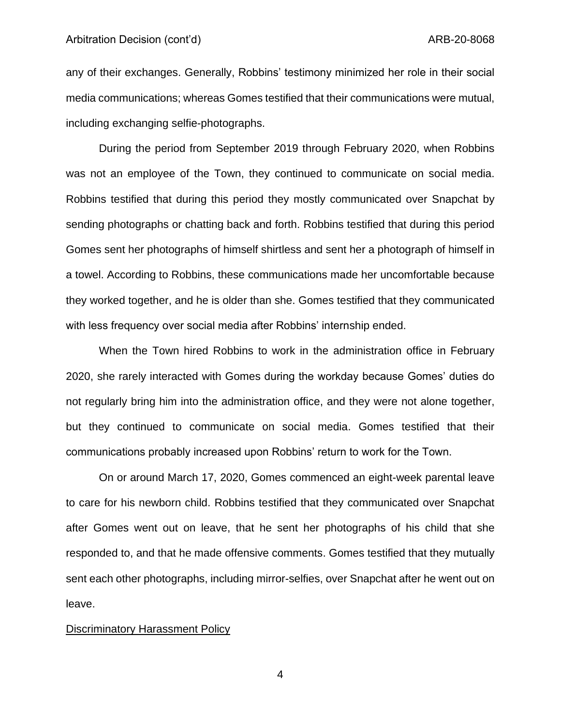#### Arbitration Decision (cont'd) and the context of the context of the ARB-20-8068

any of their exchanges. Generally, Robbins' testimony minimized her role in their social media communications; whereas Gomes testified that their communications were mutual, including exchanging selfie-photographs.

During the period from September 2019 through February 2020, when Robbins was not an employee of the Town, they continued to communicate on social media. Robbins testified that during this period they mostly communicated over Snapchat by sending photographs or chatting back and forth. Robbins testified that during this period Gomes sent her photographs of himself shirtless and sent her a photograph of himself in a towel. According to Robbins, these communications made her uncomfortable because they worked together, and he is older than she. Gomes testified that they communicated with less frequency over social media after Robbins' internship ended.

When the Town hired Robbins to work in the administration office in February 2020, she rarely interacted with Gomes during the workday because Gomes' duties do not regularly bring him into the administration office, and they were not alone together, but they continued to communicate on social media. Gomes testified that their communications probably increased upon Robbins' return to work for the Town.

On or around March 17, 2020, Gomes commenced an eight-week parental leave to care for his newborn child. Robbins testified that they communicated over Snapchat after Gomes went out on leave, that he sent her photographs of his child that she responded to, and that he made offensive comments. Gomes testified that they mutually sent each other photographs, including mirror-selfies, over Snapchat after he went out on leave.

#### Discriminatory Harassment Policy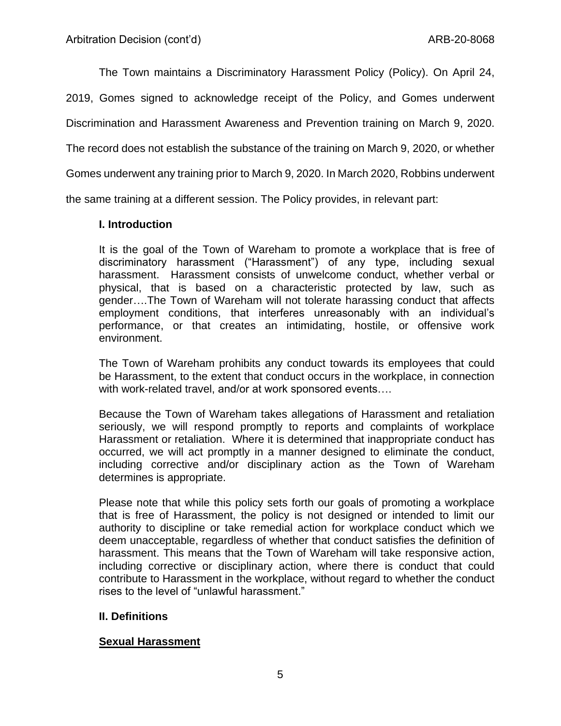The Town maintains a Discriminatory Harassment Policy (Policy). On April 24,

2019, Gomes signed to acknowledge receipt of the Policy, and Gomes underwent

Discrimination and Harassment Awareness and Prevention training on March 9, 2020.

The record does not establish the substance of the training on March 9, 2020, or whether

Gomes underwent any training prior to March 9, 2020. In March 2020, Robbins underwent

the same training at a different session. The Policy provides, in relevant part:

# **I. Introduction**

It is the goal of the Town of Wareham to promote a workplace that is free of discriminatory harassment ("Harassment") of any type, including sexual harassment. Harassment consists of unwelcome conduct, whether verbal or physical, that is based on a characteristic protected by law, such as gender….The Town of Wareham will not tolerate harassing conduct that affects employment conditions, that interferes unreasonably with an individual's performance, or that creates an intimidating, hostile, or offensive work environment.

The Town of Wareham prohibits any conduct towards its employees that could be Harassment, to the extent that conduct occurs in the workplace, in connection with work-related travel, and/or at work sponsored events….

Because the Town of Wareham takes allegations of Harassment and retaliation seriously, we will respond promptly to reports and complaints of workplace Harassment or retaliation. Where it is determined that inappropriate conduct has occurred, we will act promptly in a manner designed to eliminate the conduct, including corrective and/or disciplinary action as the Town of Wareham determines is appropriate.

Please note that while this policy sets forth our goals of promoting a workplace that is free of Harassment, the policy is not designed or intended to limit our authority to discipline or take remedial action for workplace conduct which we deem unacceptable, regardless of whether that conduct satisfies the definition of harassment. This means that the Town of Wareham will take responsive action, including corrective or disciplinary action, where there is conduct that could contribute to Harassment in the workplace, without regard to whether the conduct rises to the level of "unlawful harassment."

# **II. Definitions**

# **Sexual Harassment**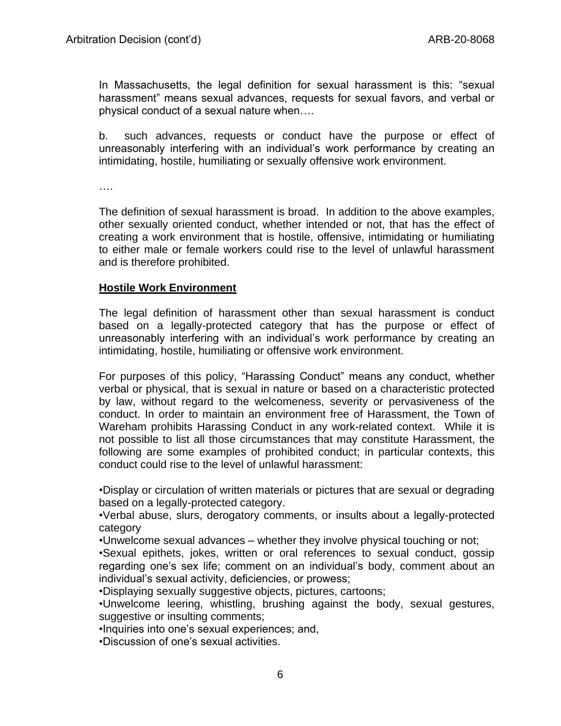In Massachusetts, the legal definition for sexual harassment is this: "sexual harassment" means sexual advances, requests for sexual favors, and verbal or physical conduct of a sexual nature when….

b. such advances, requests or conduct have the purpose or effect of unreasonably interfering with an individual's work performance by creating an intimidating, hostile, humiliating or sexually offensive work environment.

….

The definition of sexual harassment is broad. In addition to the above examples, other sexually oriented conduct, whether intended or not, that has the effect of creating a work environment that is hostile, offensive, intimidating or humiliating to either male or female workers could rise to the level of unlawful harassment and is therefore prohibited.

## **Hostile Work Environment**

The legal definition of harassment other than sexual harassment is conduct based on a legally-protected category that has the purpose or effect of unreasonably interfering with an individual's work performance by creating an intimidating, hostile, humiliating or offensive work environment.

For purposes of this policy, "Harassing Conduct" means any conduct, whether verbal or physical, that is sexual in nature or based on a characteristic protected by law, without regard to the welcomeness, severity or pervasiveness of the conduct. In order to maintain an environment free of Harassment, the Town of Wareham prohibits Harassing Conduct in any work-related context. While it is not possible to list all those circumstances that may constitute Harassment, the following are some examples of prohibited conduct; in particular contexts, this conduct could rise to the level of unlawful harassment:

•Display or circulation of written materials or pictures that are sexual or degrading based on a legally-protected category.

•Verbal abuse, slurs, derogatory comments, or insults about a legally-protected category

•Unwelcome sexual advances – whether they involve physical touching or not;

•Sexual epithets, jokes, written or oral references to sexual conduct, gossip regarding one's sex life; comment on an individual's body, comment about an individual's sexual activity, deficiencies, or prowess;

•Displaying sexually suggestive objects, pictures, cartoons;

•Unwelcome leering, whistling, brushing against the body, sexual gestures, suggestive or insulting comments;

•Inquiries into one's sexual experiences; and,

•Discussion of one's sexual activities.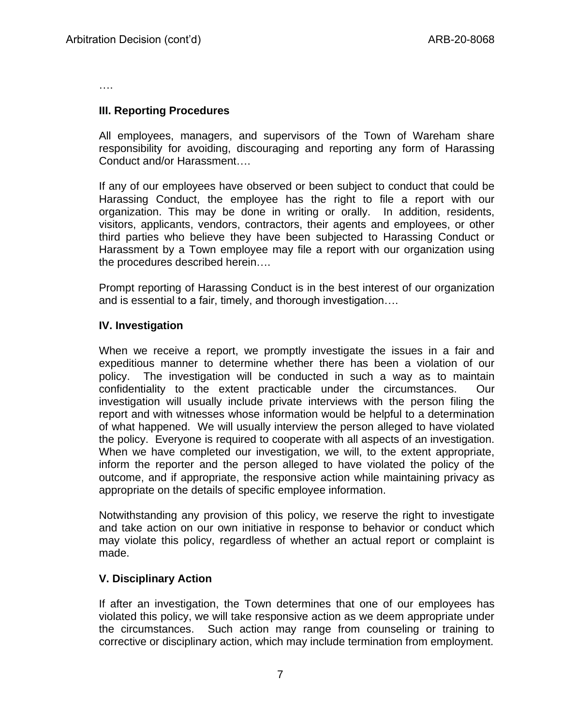….

## **III. Reporting Procedures**

All employees, managers, and supervisors of the Town of Wareham share responsibility for avoiding, discouraging and reporting any form of Harassing Conduct and/or Harassment….

If any of our employees have observed or been subject to conduct that could be Harassing Conduct, the employee has the right to file a report with our organization. This may be done in writing or orally. In addition, residents, visitors, applicants, vendors, contractors, their agents and employees, or other third parties who believe they have been subjected to Harassing Conduct or Harassment by a Town employee may file a report with our organization using the procedures described herein….

Prompt reporting of Harassing Conduct is in the best interest of our organization and is essential to a fair, timely, and thorough investigation….

## **IV. Investigation**

When we receive a report, we promptly investigate the issues in a fair and expeditious manner to determine whether there has been a violation of our policy. The investigation will be conducted in such a way as to maintain confidentiality to the extent practicable under the circumstances. Our investigation will usually include private interviews with the person filing the report and with witnesses whose information would be helpful to a determination of what happened. We will usually interview the person alleged to have violated the policy. Everyone is required to cooperate with all aspects of an investigation. When we have completed our investigation, we will, to the extent appropriate, inform the reporter and the person alleged to have violated the policy of the outcome, and if appropriate, the responsive action while maintaining privacy as appropriate on the details of specific employee information.

Notwithstanding any provision of this policy, we reserve the right to investigate and take action on our own initiative in response to behavior or conduct which may violate this policy, regardless of whether an actual report or complaint is made.

# **V. Disciplinary Action**

If after an investigation, the Town determines that one of our employees has violated this policy, we will take responsive action as we deem appropriate under the circumstances. Such action may range from counseling or training to corrective or disciplinary action, which may include termination from employment.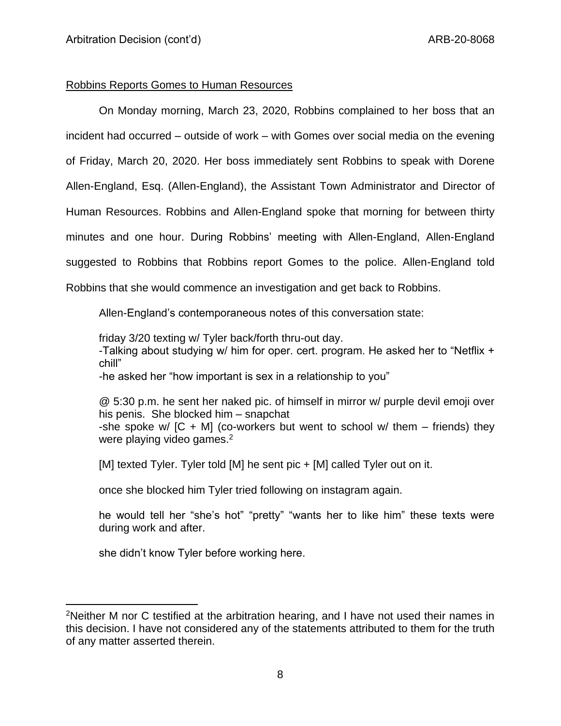## Robbins Reports Gomes to Human Resources

On Monday morning, March 23, 2020, Robbins complained to her boss that an incident had occurred – outside of work – with Gomes over social media on the evening of Friday, March 20, 2020. Her boss immediately sent Robbins to speak with Dorene Allen-England, Esq. (Allen-England), the Assistant Town Administrator and Director of Human Resources. Robbins and Allen-England spoke that morning for between thirty minutes and one hour. During Robbins' meeting with Allen-England, Allen-England suggested to Robbins that Robbins report Gomes to the police. Allen-England told Robbins that she would commence an investigation and get back to Robbins.

Allen-England's contemporaneous notes of this conversation state:

friday 3/20 texting w/ Tyler back/forth thru-out day. -Talking about studying w/ him for oper. cert. program. He asked her to "Netflix + chill" -he asked her "how important is sex in a relationship to you"

@ 5:30 p.m. he sent her naked pic. of himself in mirror w/ purple devil emoji over his penis. She blocked him – snapchat -she spoke w/  $[C + M]$  (co-workers but went to school w/ them – friends) they were playing video games.<sup>2</sup>

[M] texted Tyler. Tyler told [M] he sent pic + [M] called Tyler out on it.

once she blocked him Tyler tried following on instagram again.

he would tell her "she's hot" "pretty" "wants her to like him" these texts were during work and after.

she didn't know Tyler before working here.

<sup>2</sup>Neither M nor C testified at the arbitration hearing, and I have not used their names in this decision. I have not considered any of the statements attributed to them for the truth of any matter asserted therein.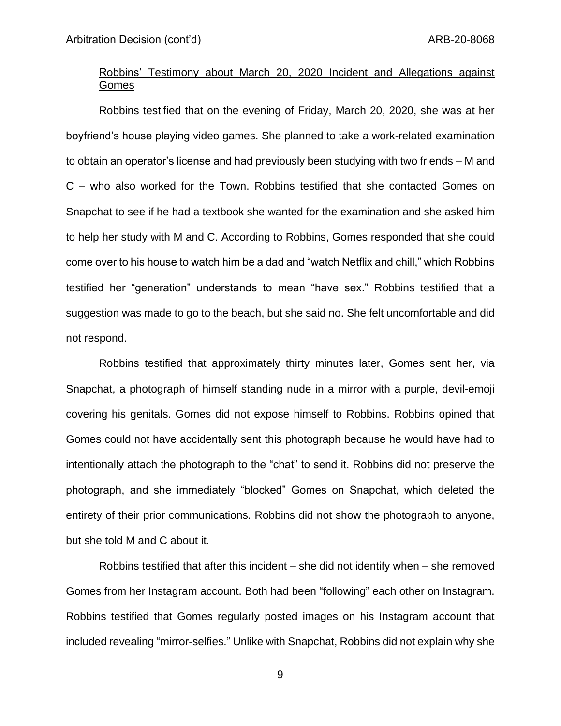# Robbins' Testimony about March 20, 2020 Incident and Allegations against Gomes

Robbins testified that on the evening of Friday, March 20, 2020, she was at her boyfriend's house playing video games. She planned to take a work-related examination to obtain an operator's license and had previously been studying with two friends – M and C – who also worked for the Town. Robbins testified that she contacted Gomes on Snapchat to see if he had a textbook she wanted for the examination and she asked him to help her study with M and C. According to Robbins, Gomes responded that she could come over to his house to watch him be a dad and "watch Netflix and chill," which Robbins testified her "generation" understands to mean "have sex." Robbins testified that a suggestion was made to go to the beach, but she said no. She felt uncomfortable and did not respond.

Robbins testified that approximately thirty minutes later, Gomes sent her, via Snapchat, a photograph of himself standing nude in a mirror with a purple, devil-emoji covering his genitals. Gomes did not expose himself to Robbins. Robbins opined that Gomes could not have accidentally sent this photograph because he would have had to intentionally attach the photograph to the "chat" to send it. Robbins did not preserve the photograph, and she immediately "blocked" Gomes on Snapchat, which deleted the entirety of their prior communications. Robbins did not show the photograph to anyone, but she told M and C about it.

Robbins testified that after this incident – she did not identify when – she removed Gomes from her Instagram account. Both had been "following" each other on Instagram. Robbins testified that Gomes regularly posted images on his Instagram account that included revealing "mirror-selfies." Unlike with Snapchat, Robbins did not explain why she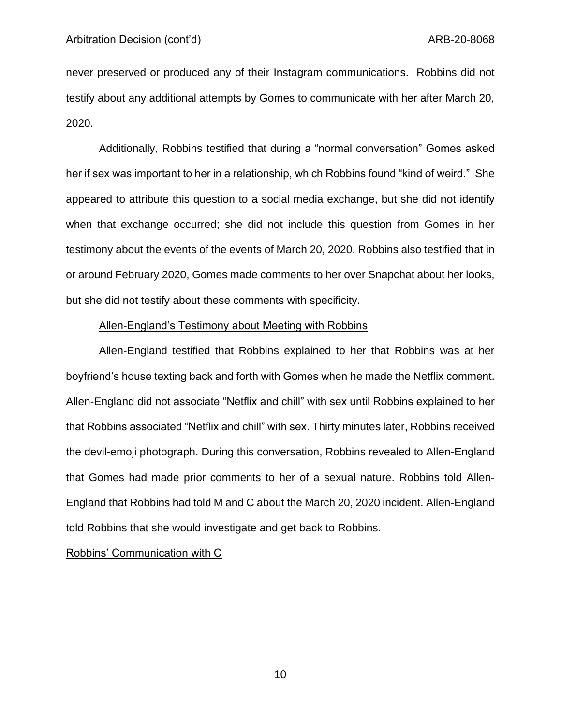never preserved or produced any of their Instagram communications. Robbins did not testify about any additional attempts by Gomes to communicate with her after March 20, 2020.

Additionally, Robbins testified that during a "normal conversation" Gomes asked her if sex was important to her in a relationship, which Robbins found "kind of weird." She appeared to attribute this question to a social media exchange, but she did not identify when that exchange occurred; she did not include this question from Gomes in her testimony about the events of the events of March 20, 2020. Robbins also testified that in or around February 2020, Gomes made comments to her over Snapchat about her looks, but she did not testify about these comments with specificity.

#### Allen-England's Testimony about Meeting with Robbins

Allen-England testified that Robbins explained to her that Robbins was at her boyfriend's house texting back and forth with Gomes when he made the Netflix comment. Allen-England did not associate "Netflix and chill" with sex until Robbins explained to her that Robbins associated "Netflix and chill" with sex. Thirty minutes later, Robbins received the devil-emoji photograph. During this conversation, Robbins revealed to Allen-England that Gomes had made prior comments to her of a sexual nature. Robbins told Allen-England that Robbins had told M and C about the March 20, 2020 incident. Allen-England told Robbins that she would investigate and get back to Robbins.

Robbins' Communication with C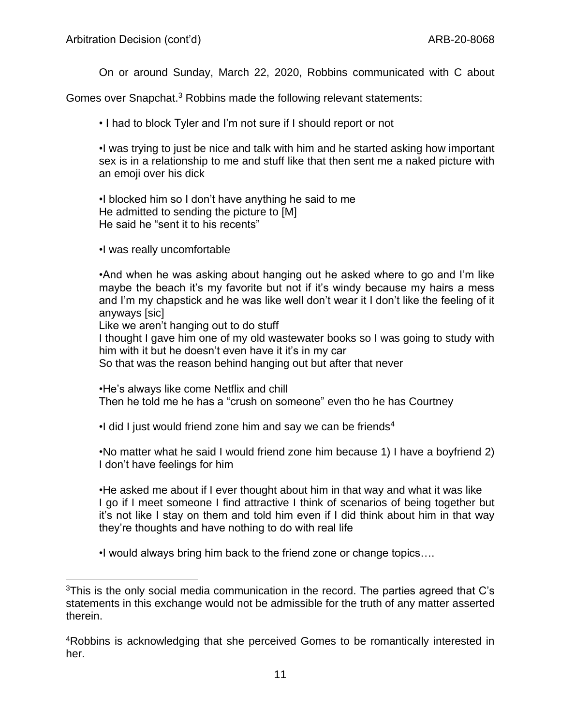On or around Sunday, March 22, 2020, Robbins communicated with C about

Gomes over Snapchat.<sup>3</sup> Robbins made the following relevant statements:

• I had to block Tyler and I'm not sure if I should report or not

•I was trying to just be nice and talk with him and he started asking how important sex is in a relationship to me and stuff like that then sent me a naked picture with an emoji over his dick

•I blocked him so I don't have anything he said to me He admitted to sending the picture to [M] He said he "sent it to his recents"

•I was really uncomfortable

•And when he was asking about hanging out he asked where to go and I'm like maybe the beach it's my favorite but not if it's windy because my hairs a mess and I'm my chapstick and he was like well don't wear it I don't like the feeling of it anyways [sic]

Like we aren't hanging out to do stuff

I thought I gave him one of my old wastewater books so I was going to study with him with it but he doesn't even have it it's in my car

So that was the reason behind hanging out but after that never

•He's always like come Netflix and chill

Then he told me he has a "crush on someone" even tho he has Courtney

 $\cdot$ I did I just would friend zone him and say we can be friends<sup>4</sup>

•No matter what he said I would friend zone him because 1) I have a boyfriend 2) I don't have feelings for him

•He asked me about if I ever thought about him in that way and what it was like I go if I meet someone I find attractive I think of scenarios of being together but it's not like I stay on them and told him even if I did think about him in that way they're thoughts and have nothing to do with real life

•I would always bring him back to the friend zone or change topics….

<sup>&</sup>lt;sup>3</sup>This is the only social media communication in the record. The parties agreed that C's statements in this exchange would not be admissible for the truth of any matter asserted therein.

<sup>4</sup>Robbins is acknowledging that she perceived Gomes to be romantically interested in her.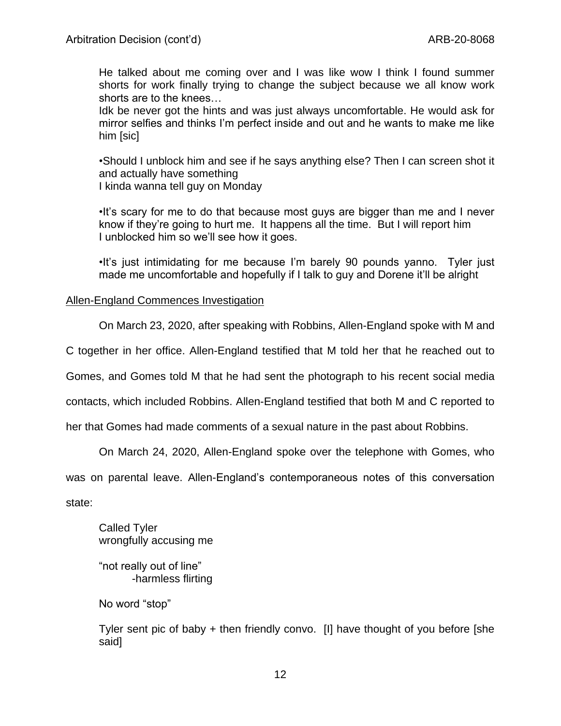He talked about me coming over and I was like wow I think I found summer shorts for work finally trying to change the subject because we all know work shorts are to the knees…

Idk be never got the hints and was just always uncomfortable. He would ask for mirror selfies and thinks I'm perfect inside and out and he wants to make me like him [sic]

•Should I unblock him and see if he says anything else? Then I can screen shot it and actually have something I kinda wanna tell guy on Monday

•It's scary for me to do that because most guys are bigger than me and I never know if they're going to hurt me. It happens all the time. But I will report him I unblocked him so we'll see how it goes.

•It's just intimidating for me because I'm barely 90 pounds yanno. Tyler just made me uncomfortable and hopefully if I talk to guy and Dorene it'll be alright

## Allen-England Commences Investigation

On March 23, 2020, after speaking with Robbins, Allen-England spoke with M and

C together in her office. Allen-England testified that M told her that he reached out to

Gomes, and Gomes told M that he had sent the photograph to his recent social media

contacts, which included Robbins. Allen-England testified that both M and C reported to

her that Gomes had made comments of a sexual nature in the past about Robbins.

On March 24, 2020, Allen-England spoke over the telephone with Gomes, who

was on parental leave. Allen-England's contemporaneous notes of this conversation

state:

Called Tyler wrongfully accusing me

"not really out of line" -harmless flirting

No word "stop"

Tyler sent pic of baby + then friendly convo. [I] have thought of you before [she said]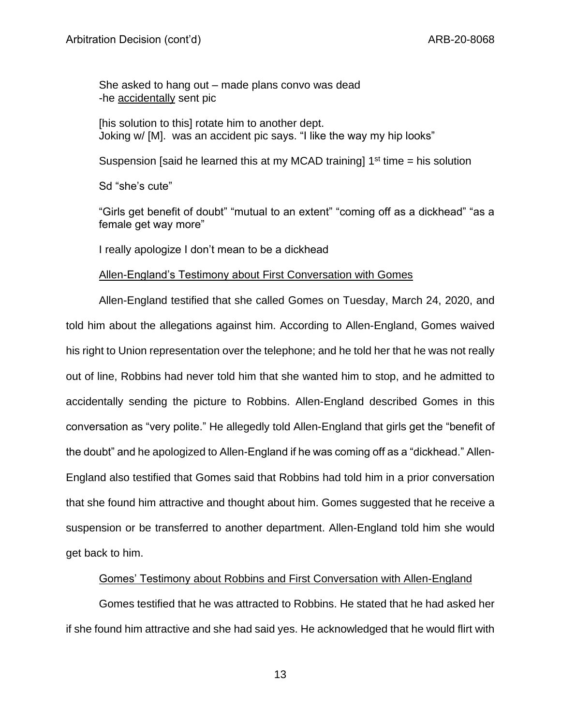She asked to hang out – made plans convo was dead -he accidentally sent pic

[his solution to this] rotate him to another dept. Joking w/ [M]. was an accident pic says. "I like the way my hip looks"

Suspension [said he learned this at my MCAD training]  $1<sup>st</sup>$  time = his solution

Sd "she's cute"

"Girls get benefit of doubt" "mutual to an extent" "coming off as a dickhead" "as a female get way more"

I really apologize I don't mean to be a dickhead

## Allen-England's Testimony about First Conversation with Gomes

Allen-England testified that she called Gomes on Tuesday, March 24, 2020, and told him about the allegations against him. According to Allen-England, Gomes waived his right to Union representation over the telephone; and he told her that he was not really out of line, Robbins had never told him that she wanted him to stop, and he admitted to accidentally sending the picture to Robbins. Allen-England described Gomes in this conversation as "very polite." He allegedly told Allen-England that girls get the "benefit of the doubt" and he apologized to Allen-England if he was coming off as a "dickhead." Allen-England also testified that Gomes said that Robbins had told him in a prior conversation that she found him attractive and thought about him. Gomes suggested that he receive a suspension or be transferred to another department. Allen-England told him she would get back to him.

# Gomes' Testimony about Robbins and First Conversation with Allen-England

Gomes testified that he was attracted to Robbins. He stated that he had asked her if she found him attractive and she had said yes. He acknowledged that he would flirt with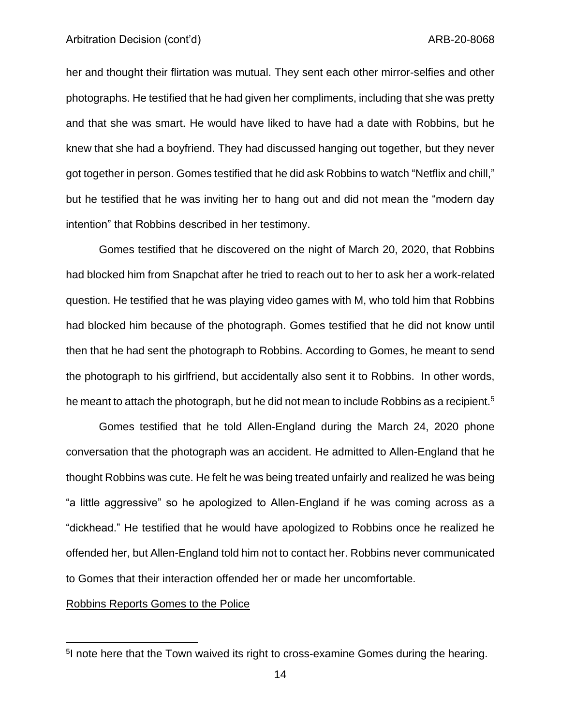#### Arbitration Decision (cont'd) and the context of the context of the ARB-20-8068

her and thought their flirtation was mutual. They sent each other mirror-selfies and other photographs. He testified that he had given her compliments, including that she was pretty and that she was smart. He would have liked to have had a date with Robbins, but he knew that she had a boyfriend. They had discussed hanging out together, but they never got together in person. Gomes testified that he did ask Robbins to watch "Netflix and chill," but he testified that he was inviting her to hang out and did not mean the "modern day intention" that Robbins described in her testimony.

Gomes testified that he discovered on the night of March 20, 2020, that Robbins had blocked him from Snapchat after he tried to reach out to her to ask her a work-related question. He testified that he was playing video games with M, who told him that Robbins had blocked him because of the photograph. Gomes testified that he did not know until then that he had sent the photograph to Robbins. According to Gomes, he meant to send the photograph to his girlfriend, but accidentally also sent it to Robbins. In other words, he meant to attach the photograph, but he did not mean to include Robbins as a recipient.<sup>5</sup>

Gomes testified that he told Allen-England during the March 24, 2020 phone conversation that the photograph was an accident. He admitted to Allen-England that he thought Robbins was cute. He felt he was being treated unfairly and realized he was being "a little aggressive" so he apologized to Allen-England if he was coming across as a "dickhead." He testified that he would have apologized to Robbins once he realized he offended her, but Allen-England told him not to contact her. Robbins never communicated to Gomes that their interaction offended her or made her uncomfortable.

## Robbins Reports Gomes to the Police

<sup>&</sup>lt;sup>5</sup>I note here that the Town waived its right to cross-examine Gomes during the hearing.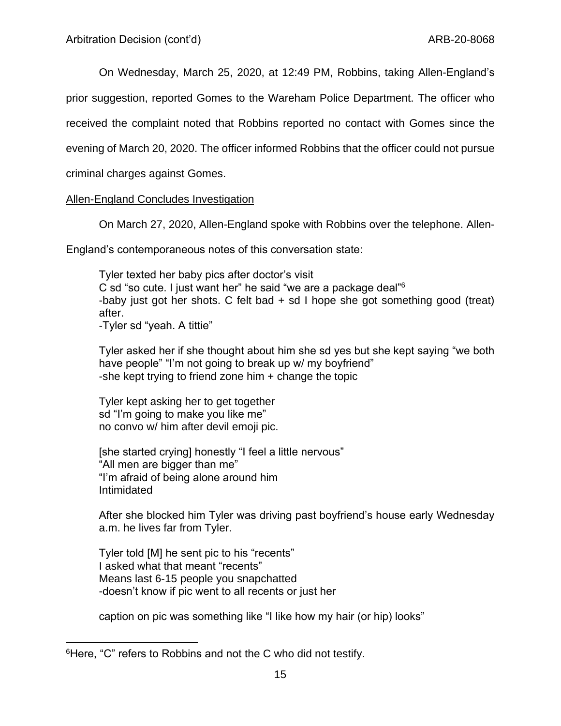On Wednesday, March 25, 2020, at 12:49 PM, Robbins, taking Allen-England's

prior suggestion, reported Gomes to the Wareham Police Department. The officer who

received the complaint noted that Robbins reported no contact with Gomes since the

evening of March 20, 2020. The officer informed Robbins that the officer could not pursue

criminal charges against Gomes.

## Allen-England Concludes Investigation

On March 27, 2020, Allen-England spoke with Robbins over the telephone. Allen-

England's contemporaneous notes of this conversation state:

Tyler texted her baby pics after doctor's visit C sd "so cute. I just want her" he said "we are a package deal"<sup>6</sup> -baby just got her shots. C felt bad  $+$  sd I hope she got something good (treat) after. -Tyler sd "yeah. A tittie"

Tyler asked her if she thought about him she sd yes but she kept saying "we both have people" "I'm not going to break up w/ my boyfriend" -she kept trying to friend zone him  $+$  change the topic

Tyler kept asking her to get together sd "I'm going to make you like me" no convo w/ him after devil emoji pic.

[she started crying] honestly "I feel a little nervous" "All men are bigger than me" "I'm afraid of being alone around him Intimidated

After she blocked him Tyler was driving past boyfriend's house early Wednesday a.m. he lives far from Tyler.

Tyler told [M] he sent pic to his "recents" I asked what that meant "recents" Means last 6-15 people you snapchatted -doesn't know if pic went to all recents or just her

caption on pic was something like "I like how my hair (or hip) looks"

<sup>6</sup>Here, "C" refers to Robbins and not the C who did not testify.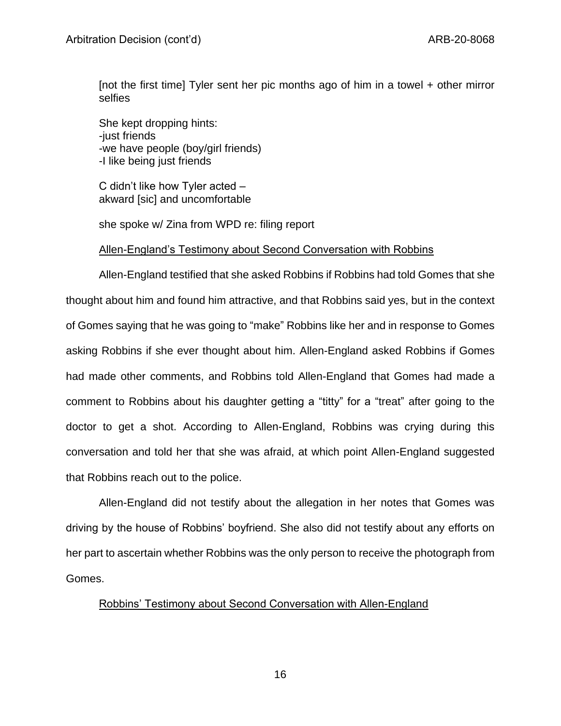[not the first time] Tyler sent her pic months ago of him in a towel + other mirror selfies

She kept dropping hints: -just friends -we have people (boy/girl friends) -I like being just friends

C didn't like how Tyler acted – akward [sic] and uncomfortable

she spoke w/ Zina from WPD re: filing report

## Allen-England's Testimony about Second Conversation with Robbins

Allen-England testified that she asked Robbins if Robbins had told Gomes that she thought about him and found him attractive, and that Robbins said yes, but in the context of Gomes saying that he was going to "make" Robbins like her and in response to Gomes asking Robbins if she ever thought about him. Allen-England asked Robbins if Gomes had made other comments, and Robbins told Allen-England that Gomes had made a comment to Robbins about his daughter getting a "titty" for a "treat" after going to the doctor to get a shot. According to Allen-England, Robbins was crying during this conversation and told her that she was afraid, at which point Allen-England suggested that Robbins reach out to the police.

Allen-England did not testify about the allegation in her notes that Gomes was driving by the house of Robbins' boyfriend. She also did not testify about any efforts on her part to ascertain whether Robbins was the only person to receive the photograph from Gomes.

# Robbins' Testimony about Second Conversation with Allen-England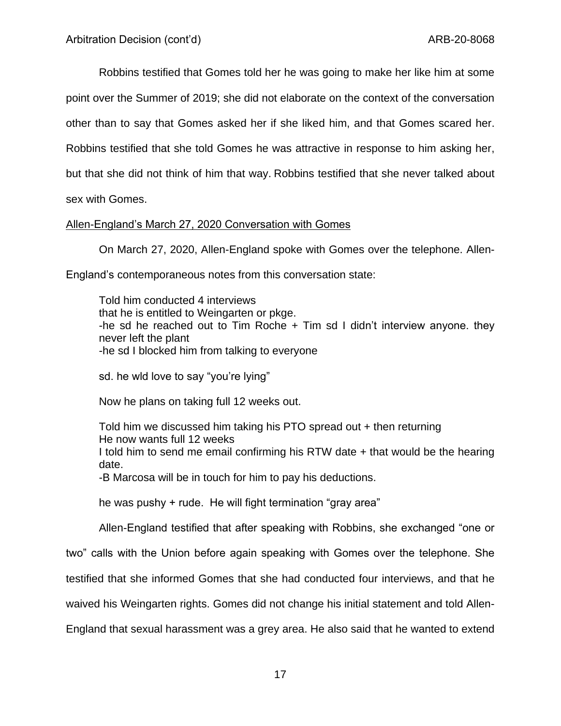Robbins testified that Gomes told her he was going to make her like him at some point over the Summer of 2019; she did not elaborate on the context of the conversation other than to say that Gomes asked her if she liked him, and that Gomes scared her. Robbins testified that she told Gomes he was attractive in response to him asking her, but that she did not think of him that way. Robbins testified that she never talked about sex with Gomes.

Allen-England's March 27, 2020 Conversation with Gomes

On March 27, 2020, Allen-England spoke with Gomes over the telephone. Allen-

England's contemporaneous notes from this conversation state:

Told him conducted 4 interviews that he is entitled to Weingarten or pkge. -he sd he reached out to Tim Roche + Tim sd I didn't interview anyone. they never left the plant -he sd I blocked him from talking to everyone

sd. he wld love to say "you're lying"

Now he plans on taking full 12 weeks out.

Told him we discussed him taking his PTO spread out + then returning He now wants full 12 weeks I told him to send me email confirming his RTW date + that would be the hearing date. -B Marcosa will be in touch for him to pay his deductions.

he was pushy + rude. He will fight termination "gray area"

Allen-England testified that after speaking with Robbins, she exchanged "one or

two" calls with the Union before again speaking with Gomes over the telephone. She

testified that she informed Gomes that she had conducted four interviews, and that he

waived his Weingarten rights. Gomes did not change his initial statement and told Allen-

England that sexual harassment was a grey area. He also said that he wanted to extend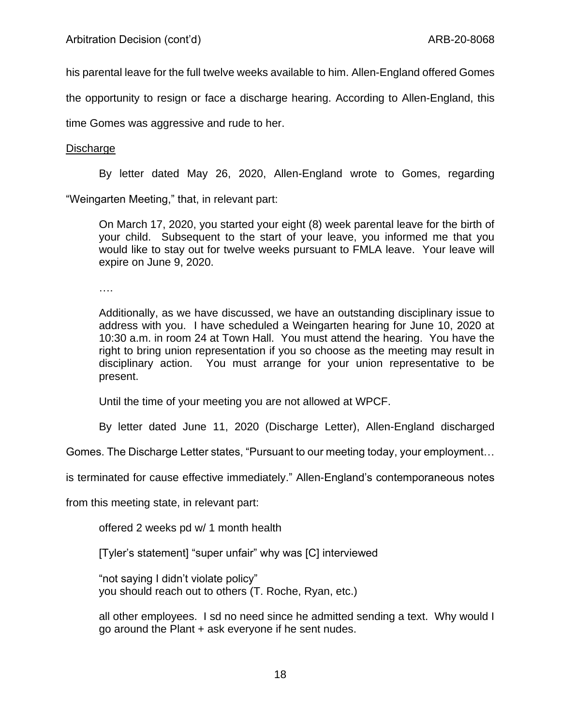his parental leave for the full twelve weeks available to him. Allen-England offered Gomes

the opportunity to resign or face a discharge hearing. According to Allen-England, this

time Gomes was aggressive and rude to her.

## Discharge

By letter dated May 26, 2020, Allen-England wrote to Gomes, regarding

"Weingarten Meeting," that, in relevant part:

On March 17, 2020, you started your eight (8) week parental leave for the birth of your child. Subsequent to the start of your leave, you informed me that you would like to stay out for twelve weeks pursuant to FMLA leave. Your leave will expire on June 9, 2020.

….

Additionally, as we have discussed, we have an outstanding disciplinary issue to address with you. I have scheduled a Weingarten hearing for June 10, 2020 at 10:30 a.m. in room 24 at Town Hall. You must attend the hearing. You have the right to bring union representation if you so choose as the meeting may result in disciplinary action. You must arrange for your union representative to be present.

Until the time of your meeting you are not allowed at WPCF.

By letter dated June 11, 2020 (Discharge Letter), Allen-England discharged

Gomes. The Discharge Letter states, "Pursuant to our meeting today, your employment…

is terminated for cause effective immediately." Allen-England's contemporaneous notes

from this meeting state, in relevant part:

offered 2 weeks pd w/ 1 month health

[Tyler's statement] "super unfair" why was [C] interviewed

"not saying I didn't violate policy" you should reach out to others (T. Roche, Ryan, etc.)

all other employees. I sd no need since he admitted sending a text. Why would I go around the Plant + ask everyone if he sent nudes.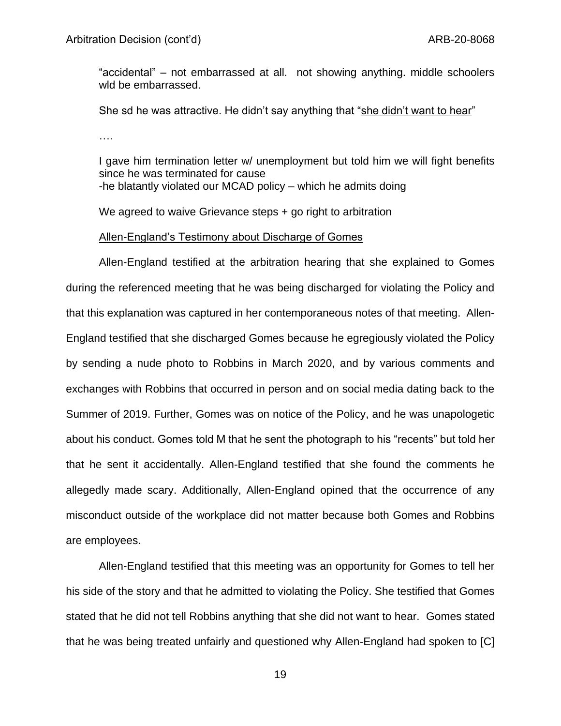"accidental" – not embarrassed at all. not showing anything. middle schoolers wld be embarrassed.

She sd he was attractive. He didn't say anything that "she didn't want to hear"

….

I gave him termination letter w/ unemployment but told him we will fight benefits since he was terminated for cause -he blatantly violated our MCAD policy – which he admits doing

We agreed to waive Grievance steps + go right to arbitration

## Allen-England's Testimony about Discharge of Gomes

Allen-England testified at the arbitration hearing that she explained to Gomes during the referenced meeting that he was being discharged for violating the Policy and that this explanation was captured in her contemporaneous notes of that meeting. Allen-England testified that she discharged Gomes because he egregiously violated the Policy by sending a nude photo to Robbins in March 2020, and by various comments and exchanges with Robbins that occurred in person and on social media dating back to the Summer of 2019. Further, Gomes was on notice of the Policy, and he was unapologetic about his conduct. Gomes told M that he sent the photograph to his "recents" but told her that he sent it accidentally. Allen-England testified that she found the comments he allegedly made scary. Additionally, Allen-England opined that the occurrence of any misconduct outside of the workplace did not matter because both Gomes and Robbins are employees.

Allen-England testified that this meeting was an opportunity for Gomes to tell her his side of the story and that he admitted to violating the Policy. She testified that Gomes stated that he did not tell Robbins anything that she did not want to hear. Gomes stated that he was being treated unfairly and questioned why Allen-England had spoken to [C]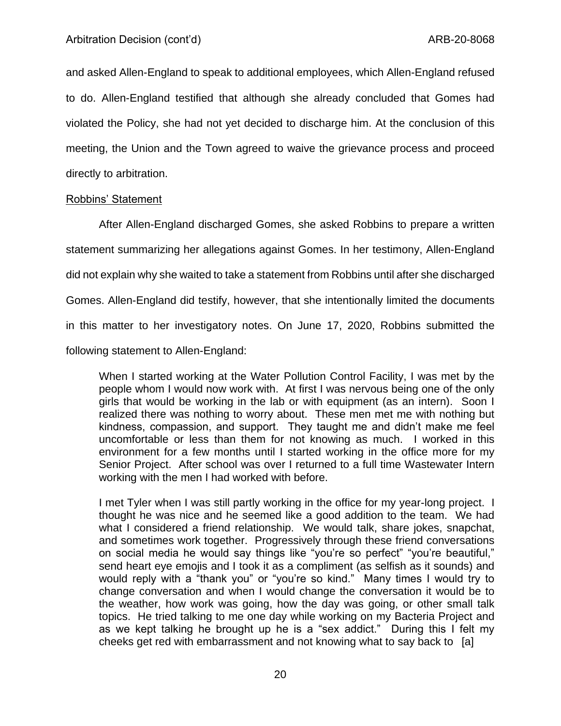and asked Allen-England to speak to additional employees, which Allen-England refused to do. Allen-England testified that although she already concluded that Gomes had violated the Policy, she had not yet decided to discharge him. At the conclusion of this meeting, the Union and the Town agreed to waive the grievance process and proceed directly to arbitration.

### Robbins' Statement

After Allen-England discharged Gomes, she asked Robbins to prepare a written statement summarizing her allegations against Gomes. In her testimony, Allen-England did not explain why she waited to take a statement from Robbins until after she discharged Gomes. Allen-England did testify, however, that she intentionally limited the documents in this matter to her investigatory notes. On June 17, 2020, Robbins submitted the following statement to Allen-England:

When I started working at the Water Pollution Control Facility, I was met by the people whom I would now work with. At first I was nervous being one of the only girls that would be working in the lab or with equipment (as an intern). Soon I realized there was nothing to worry about. These men met me with nothing but kindness, compassion, and support. They taught me and didn't make me feel uncomfortable or less than them for not knowing as much. I worked in this environment for a few months until I started working in the office more for my Senior Project. After school was over I returned to a full time Wastewater Intern working with the men I had worked with before.

I met Tyler when I was still partly working in the office for my year-long project. I thought he was nice and he seemed like a good addition to the team. We had what I considered a friend relationship. We would talk, share jokes, snapchat, and sometimes work together. Progressively through these friend conversations on social media he would say things like "you're so perfect" "you're beautiful," send heart eye emojis and I took it as a compliment (as selfish as it sounds) and would reply with a "thank you" or "you're so kind." Many times I would try to change conversation and when I would change the conversation it would be to the weather, how work was going, how the day was going, or other small talk topics. He tried talking to me one day while working on my Bacteria Project and as we kept talking he brought up he is a "sex addict." During this I felt my cheeks get red with embarrassment and not knowing what to say back to [a]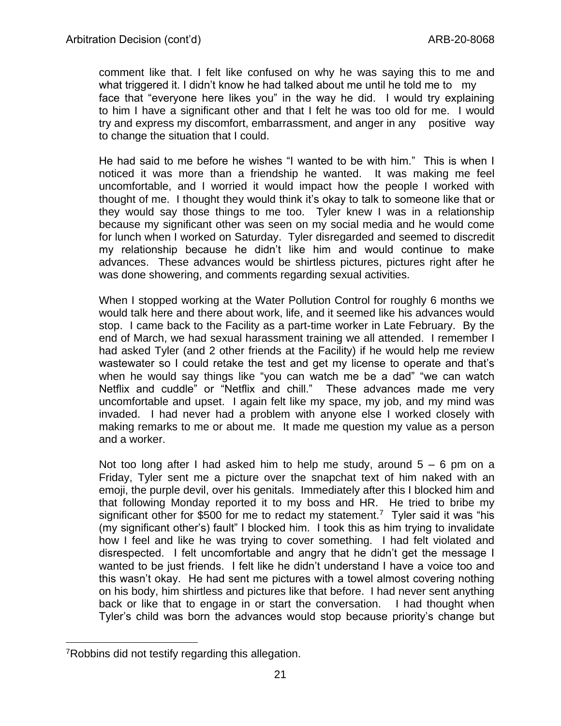comment like that. I felt like confused on why he was saying this to me and what triggered it. I didn't know he had talked about me until he told me to my face that "everyone here likes you" in the way he did. I would try explaining to him I have a significant other and that I felt he was too old for me. I would try and express my discomfort, embarrassment, and anger in any positive way to change the situation that I could.

He had said to me before he wishes "I wanted to be with him." This is when I noticed it was more than a friendship he wanted. It was making me feel uncomfortable, and I worried it would impact how the people I worked with thought of me. I thought they would think it's okay to talk to someone like that or they would say those things to me too. Tyler knew I was in a relationship because my significant other was seen on my social media and he would come for lunch when I worked on Saturday. Tyler disregarded and seemed to discredit my relationship because he didn't like him and would continue to make advances. These advances would be shirtless pictures, pictures right after he was done showering, and comments regarding sexual activities.

When I stopped working at the Water Pollution Control for roughly 6 months we would talk here and there about work, life, and it seemed like his advances would stop. I came back to the Facility as a part-time worker in Late February. By the end of March, we had sexual harassment training we all attended. I remember I had asked Tyler (and 2 other friends at the Facility) if he would help me review wastewater so I could retake the test and get my license to operate and that's when he would say things like "you can watch me be a dad" "we can watch Netflix and cuddle" or "Netflix and chill." These advances made me very uncomfortable and upset. I again felt like my space, my job, and my mind was invaded. I had never had a problem with anyone else I worked closely with making remarks to me or about me. It made me question my value as a person and a worker.

Not too long after I had asked him to help me study, around  $5 - 6$  pm on a Friday, Tyler sent me a picture over the snapchat text of him naked with an emoji, the purple devil, over his genitals. Immediately after this I blocked him and that following Monday reported it to my boss and HR. He tried to bribe my significant other for \$500 for me to redact my statement.<sup>7</sup> Tyler said it was "his (my significant other's) fault" I blocked him. I took this as him trying to invalidate how I feel and like he was trying to cover something. I had felt violated and disrespected. I felt uncomfortable and angry that he didn't get the message I wanted to be just friends. I felt like he didn't understand I have a voice too and this wasn't okay. He had sent me pictures with a towel almost covering nothing on his body, him shirtless and pictures like that before. I had never sent anything back or like that to engage in or start the conversation. I had thought when Tyler's child was born the advances would stop because priority's change but

<sup>7</sup>Robbins did not testify regarding this allegation.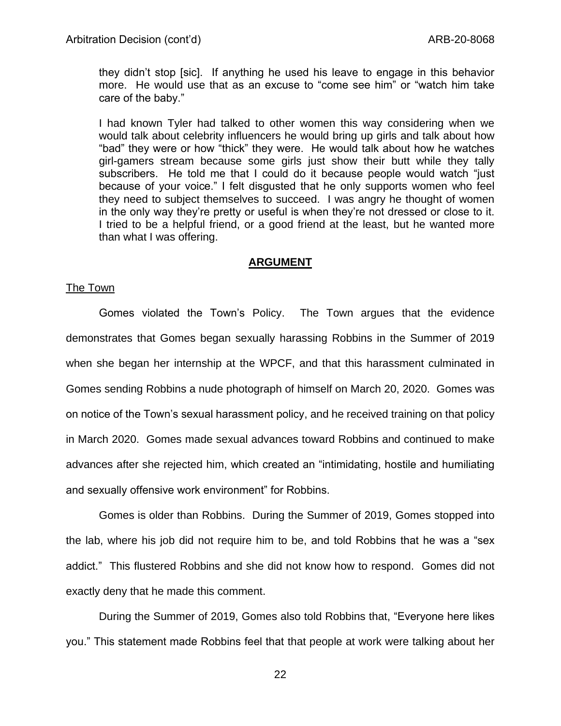they didn't stop [sic]. If anything he used his leave to engage in this behavior more. He would use that as an excuse to "come see him" or "watch him take care of the baby."

I had known Tyler had talked to other women this way considering when we would talk about celebrity influencers he would bring up girls and talk about how "bad" they were or how "thick" they were. He would talk about how he watches girl-gamers stream because some girls just show their butt while they tally subscribers. He told me that I could do it because people would watch "just because of your voice." I felt disgusted that he only supports women who feel they need to subject themselves to succeed. I was angry he thought of women in the only way they're pretty or useful is when they're not dressed or close to it. I tried to be a helpful friend, or a good friend at the least, but he wanted more than what I was offering.

## **ARGUMENT**

#### The Town

Gomes violated the Town's Policy. The Town argues that the evidence demonstrates that Gomes began sexually harassing Robbins in the Summer of 2019 when she began her internship at the WPCF, and that this harassment culminated in Gomes sending Robbins a nude photograph of himself on March 20, 2020. Gomes was on notice of the Town's sexual harassment policy, and he received training on that policy in March 2020. Gomes made sexual advances toward Robbins and continued to make advances after she rejected him, which created an "intimidating, hostile and humiliating and sexually offensive work environment" for Robbins.

Gomes is older than Robbins. During the Summer of 2019, Gomes stopped into the lab, where his job did not require him to be, and told Robbins that he was a "sex addict." This flustered Robbins and she did not know how to respond. Gomes did not exactly deny that he made this comment.

During the Summer of 2019, Gomes also told Robbins that, "Everyone here likes you." This statement made Robbins feel that that people at work were talking about her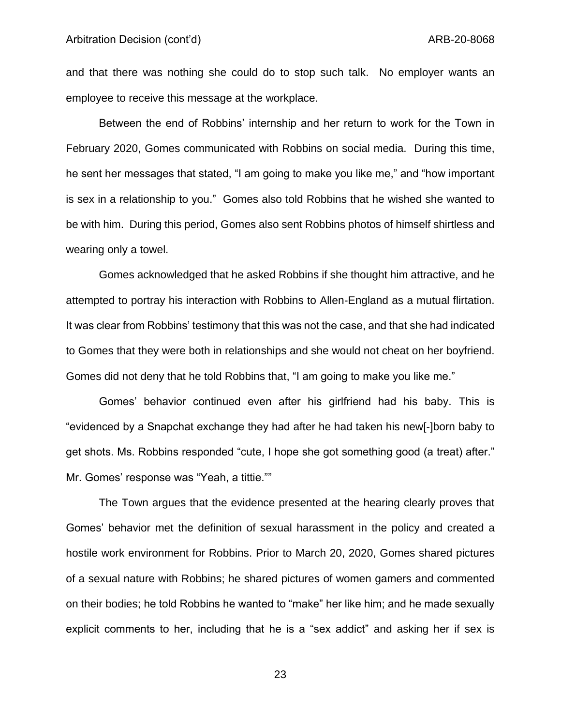and that there was nothing she could do to stop such talk. No employer wants an employee to receive this message at the workplace.

Between the end of Robbins' internship and her return to work for the Town in February 2020, Gomes communicated with Robbins on social media. During this time, he sent her messages that stated, "I am going to make you like me," and "how important is sex in a relationship to you." Gomes also told Robbins that he wished she wanted to be with him. During this period, Gomes also sent Robbins photos of himself shirtless and wearing only a towel.

Gomes acknowledged that he asked Robbins if she thought him attractive, and he attempted to portray his interaction with Robbins to Allen-England as a mutual flirtation. It was clear from Robbins' testimony that this was not the case, and that she had indicated to Gomes that they were both in relationships and she would not cheat on her boyfriend. Gomes did not deny that he told Robbins that, "I am going to make you like me."

Gomes' behavior continued even after his girlfriend had his baby. This is "evidenced by a Snapchat exchange they had after he had taken his new[-]born baby to get shots. Ms. Robbins responded "cute, I hope she got something good (a treat) after." Mr. Gomes' response was "Yeah, a tittie.""

The Town argues that the evidence presented at the hearing clearly proves that Gomes' behavior met the definition of sexual harassment in the policy and created a hostile work environment for Robbins. Prior to March 20, 2020, Gomes shared pictures of a sexual nature with Robbins; he shared pictures of women gamers and commented on their bodies; he told Robbins he wanted to "make" her like him; and he made sexually explicit comments to her, including that he is a "sex addict" and asking her if sex is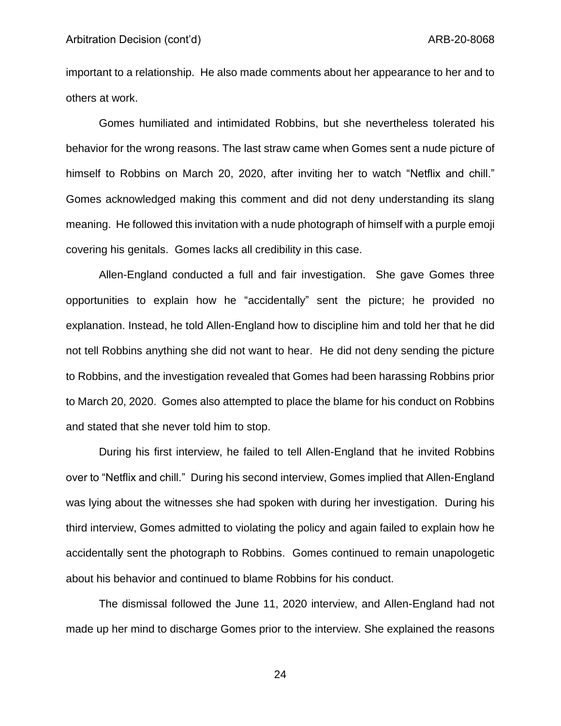important to a relationship. He also made comments about her appearance to her and to others at work.

Gomes humiliated and intimidated Robbins, but she nevertheless tolerated his behavior for the wrong reasons. The last straw came when Gomes sent a nude picture of himself to Robbins on March 20, 2020, after inviting her to watch "Netflix and chill." Gomes acknowledged making this comment and did not deny understanding its slang meaning. He followed this invitation with a nude photograph of himself with a purple emoji covering his genitals. Gomes lacks all credibility in this case.

Allen-England conducted a full and fair investigation. She gave Gomes three opportunities to explain how he "accidentally" sent the picture; he provided no explanation. Instead, he told Allen-England how to discipline him and told her that he did not tell Robbins anything she did not want to hear. He did not deny sending the picture to Robbins, and the investigation revealed that Gomes had been harassing Robbins prior to March 20, 2020. Gomes also attempted to place the blame for his conduct on Robbins and stated that she never told him to stop.

During his first interview, he failed to tell Allen-England that he invited Robbins over to "Netflix and chill." During his second interview, Gomes implied that Allen-England was lying about the witnesses she had spoken with during her investigation. During his third interview, Gomes admitted to violating the policy and again failed to explain how he accidentally sent the photograph to Robbins. Gomes continued to remain unapologetic about his behavior and continued to blame Robbins for his conduct.

The dismissal followed the June 11, 2020 interview, and Allen-England had not made up her mind to discharge Gomes prior to the interview. She explained the reasons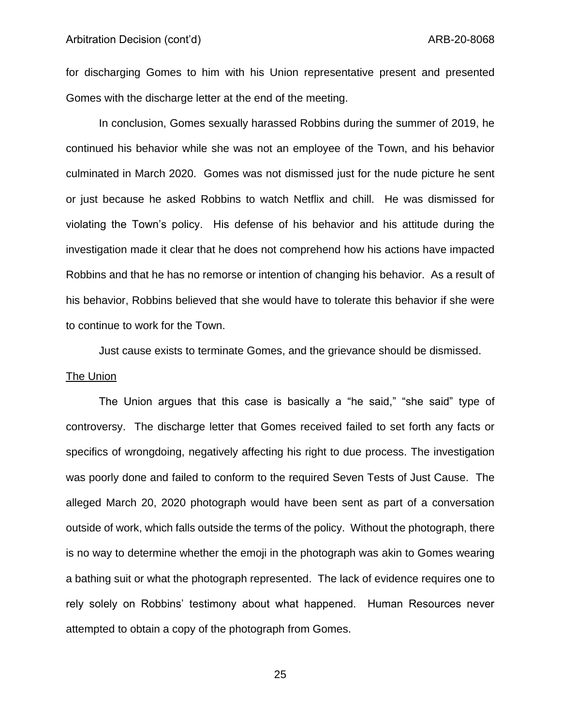for discharging Gomes to him with his Union representative present and presented Gomes with the discharge letter at the end of the meeting.

In conclusion, Gomes sexually harassed Robbins during the summer of 2019, he continued his behavior while she was not an employee of the Town, and his behavior culminated in March 2020. Gomes was not dismissed just for the nude picture he sent or just because he asked Robbins to watch Netflix and chill. He was dismissed for violating the Town's policy. His defense of his behavior and his attitude during the investigation made it clear that he does not comprehend how his actions have impacted Robbins and that he has no remorse or intention of changing his behavior. As a result of his behavior, Robbins believed that she would have to tolerate this behavior if she were to continue to work for the Town.

Just cause exists to terminate Gomes, and the grievance should be dismissed.

#### The Union

The Union argues that this case is basically a "he said," "she said" type of controversy. The discharge letter that Gomes received failed to set forth any facts or specifics of wrongdoing, negatively affecting his right to due process. The investigation was poorly done and failed to conform to the required Seven Tests of Just Cause. The alleged March 20, 2020 photograph would have been sent as part of a conversation outside of work, which falls outside the terms of the policy. Without the photograph, there is no way to determine whether the emoji in the photograph was akin to Gomes wearing a bathing suit or what the photograph represented. The lack of evidence requires one to rely solely on Robbins' testimony about what happened. Human Resources never attempted to obtain a copy of the photograph from Gomes.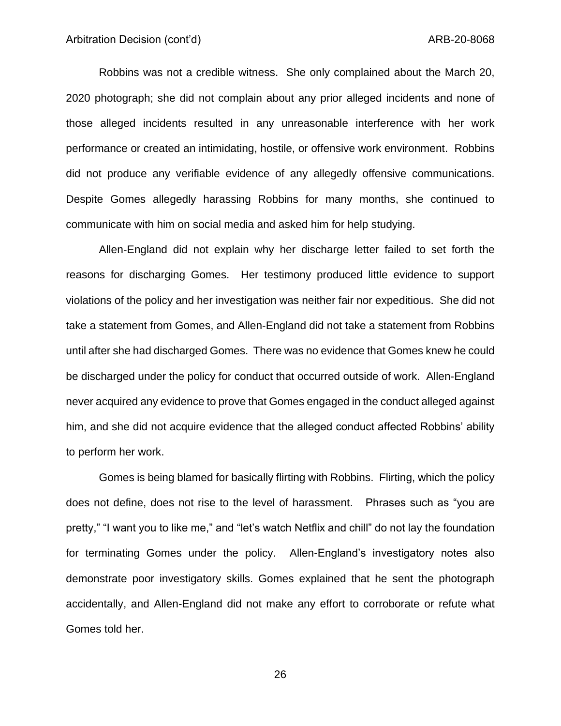Robbins was not a credible witness. She only complained about the March 20, 2020 photograph; she did not complain about any prior alleged incidents and none of those alleged incidents resulted in any unreasonable interference with her work performance or created an intimidating, hostile, or offensive work environment. Robbins did not produce any verifiable evidence of any allegedly offensive communications. Despite Gomes allegedly harassing Robbins for many months, she continued to communicate with him on social media and asked him for help studying.

Allen-England did not explain why her discharge letter failed to set forth the reasons for discharging Gomes. Her testimony produced little evidence to support violations of the policy and her investigation was neither fair nor expeditious. She did not take a statement from Gomes, and Allen-England did not take a statement from Robbins until after she had discharged Gomes. There was no evidence that Gomes knew he could be discharged under the policy for conduct that occurred outside of work. Allen-England never acquired any evidence to prove that Gomes engaged in the conduct alleged against him, and she did not acquire evidence that the alleged conduct affected Robbins' ability to perform her work.

Gomes is being blamed for basically flirting with Robbins. Flirting, which the policy does not define, does not rise to the level of harassment. Phrases such as "you are pretty," "I want you to like me," and "let's watch Netflix and chill" do not lay the foundation for terminating Gomes under the policy. Allen-England's investigatory notes also demonstrate poor investigatory skills. Gomes explained that he sent the photograph accidentally, and Allen-England did not make any effort to corroborate or refute what Gomes told her.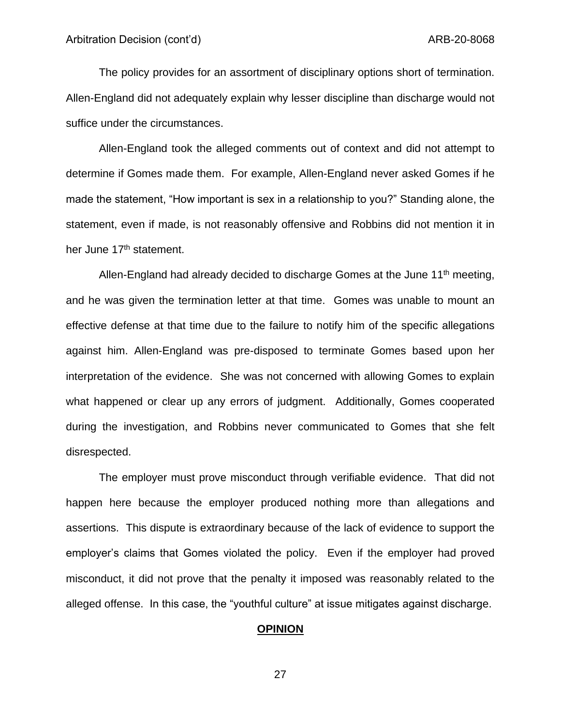The policy provides for an assortment of disciplinary options short of termination. Allen-England did not adequately explain why lesser discipline than discharge would not suffice under the circumstances.

Allen-England took the alleged comments out of context and did not attempt to determine if Gomes made them. For example, Allen-England never asked Gomes if he made the statement, "How important is sex in a relationship to you?" Standing alone, the statement, even if made, is not reasonably offensive and Robbins did not mention it in her June 17<sup>th</sup> statement.

Allen-England had already decided to discharge Gomes at the June  $11<sup>th</sup>$  meeting, and he was given the termination letter at that time. Gomes was unable to mount an effective defense at that time due to the failure to notify him of the specific allegations against him. Allen-England was pre-disposed to terminate Gomes based upon her interpretation of the evidence. She was not concerned with allowing Gomes to explain what happened or clear up any errors of judgment. Additionally, Gomes cooperated during the investigation, and Robbins never communicated to Gomes that she felt disrespected.

The employer must prove misconduct through verifiable evidence. That did not happen here because the employer produced nothing more than allegations and assertions. This dispute is extraordinary because of the lack of evidence to support the employer's claims that Gomes violated the policy. Even if the employer had proved misconduct, it did not prove that the penalty it imposed was reasonably related to the alleged offense. In this case, the "youthful culture" at issue mitigates against discharge.

#### **OPINION**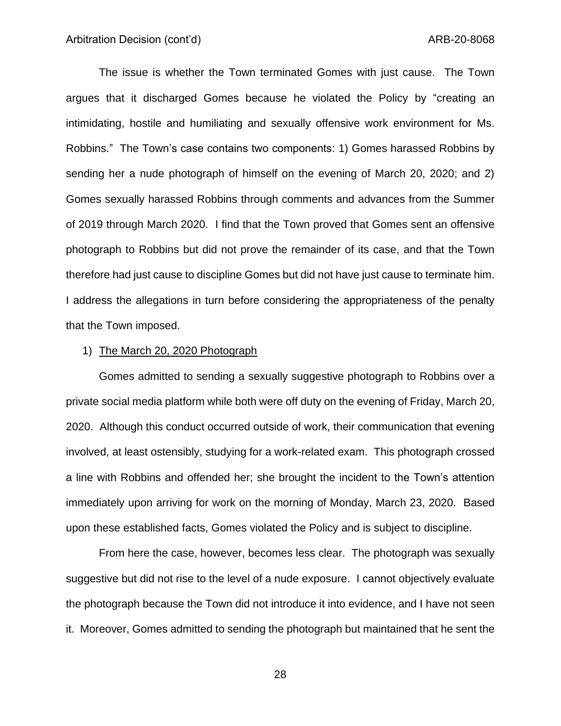The issue is whether the Town terminated Gomes with just cause. The Town argues that it discharged Gomes because he violated the Policy by "creating an intimidating, hostile and humiliating and sexually offensive work environment for Ms. Robbins." The Town's case contains two components: 1) Gomes harassed Robbins by sending her a nude photograph of himself on the evening of March 20, 2020; and 2) Gomes sexually harassed Robbins through comments and advances from the Summer of 2019 through March 2020. I find that the Town proved that Gomes sent an offensive photograph to Robbins but did not prove the remainder of its case, and that the Town therefore had just cause to discipline Gomes but did not have just cause to terminate him. I address the allegations in turn before considering the appropriateness of the penalty that the Town imposed.

#### 1) The March 20, 2020 Photograph

Gomes admitted to sending a sexually suggestive photograph to Robbins over a private social media platform while both were off duty on the evening of Friday, March 20, 2020. Although this conduct occurred outside of work, their communication that evening involved, at least ostensibly, studying for a work-related exam. This photograph crossed a line with Robbins and offended her; she brought the incident to the Town's attention immediately upon arriving for work on the morning of Monday, March 23, 2020. Based upon these established facts, Gomes violated the Policy and is subject to discipline.

From here the case, however, becomes less clear. The photograph was sexually suggestive but did not rise to the level of a nude exposure. I cannot objectively evaluate the photograph because the Town did not introduce it into evidence, and I have not seen it. Moreover, Gomes admitted to sending the photograph but maintained that he sent the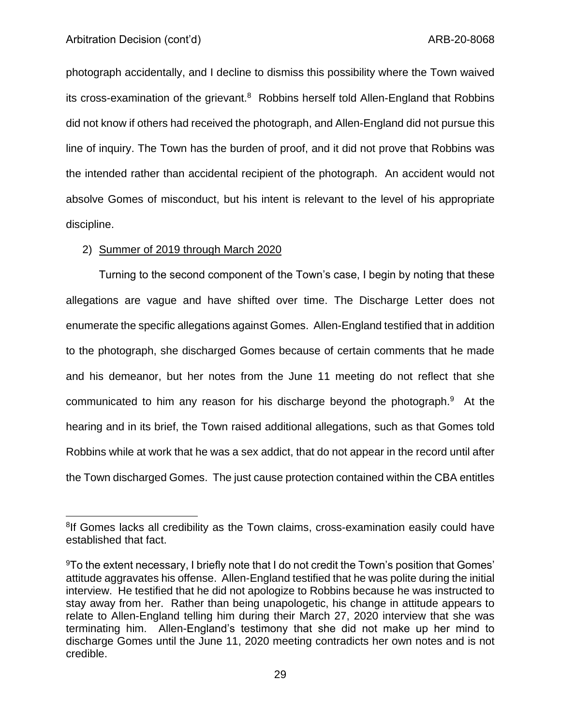### Arbitration Decision (cont'd) and the context of the ARB-20-8068

photograph accidentally, and I decline to dismiss this possibility where the Town waived its cross-examination of the grievant. $8$  Robbins herself told Allen-England that Robbins did not know if others had received the photograph, and Allen-England did not pursue this line of inquiry. The Town has the burden of proof, and it did not prove that Robbins was the intended rather than accidental recipient of the photograph. An accident would not absolve Gomes of misconduct, but his intent is relevant to the level of his appropriate discipline.

### 2) Summer of 2019 through March 2020

Turning to the second component of the Town's case, I begin by noting that these allegations are vague and have shifted over time. The Discharge Letter does not enumerate the specific allegations against Gomes. Allen-England testified that in addition to the photograph, she discharged Gomes because of certain comments that he made and his demeanor, but her notes from the June 11 meeting do not reflect that she communicated to him any reason for his discharge beyond the photograph.<sup>9</sup> At the hearing and in its brief, the Town raised additional allegations, such as that Gomes told Robbins while at work that he was a sex addict, that do not appear in the record until after the Town discharged Gomes. The just cause protection contained within the CBA entitles

<sup>&</sup>lt;sup>8</sup>If Gomes lacks all credibility as the Town claims, cross-examination easily could have established that fact.

<sup>9</sup>To the extent necessary, I briefly note that I do not credit the Town's position that Gomes' attitude aggravates his offense. Allen-England testified that he was polite during the initial interview. He testified that he did not apologize to Robbins because he was instructed to stay away from her. Rather than being unapologetic, his change in attitude appears to relate to Allen-England telling him during their March 27, 2020 interview that she was terminating him. Allen-England's testimony that she did not make up her mind to discharge Gomes until the June 11, 2020 meeting contradicts her own notes and is not credible.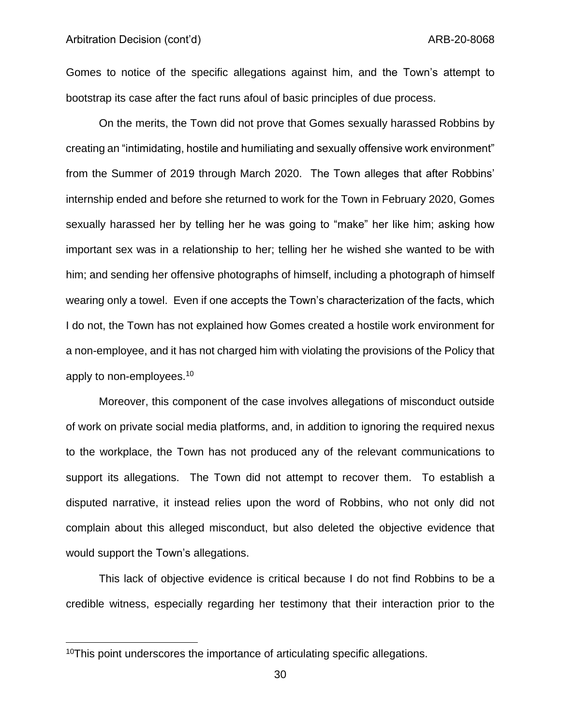Gomes to notice of the specific allegations against him, and the Town's attempt to bootstrap its case after the fact runs afoul of basic principles of due process.

On the merits, the Town did not prove that Gomes sexually harassed Robbins by creating an "intimidating, hostile and humiliating and sexually offensive work environment" from the Summer of 2019 through March 2020. The Town alleges that after Robbins' internship ended and before she returned to work for the Town in February 2020, Gomes sexually harassed her by telling her he was going to "make" her like him; asking how important sex was in a relationship to her; telling her he wished she wanted to be with him; and sending her offensive photographs of himself, including a photograph of himself wearing only a towel. Even if one accepts the Town's characterization of the facts, which I do not, the Town has not explained how Gomes created a hostile work environment for a non-employee, and it has not charged him with violating the provisions of the Policy that apply to non-employees.<sup>10</sup>

Moreover, this component of the case involves allegations of misconduct outside of work on private social media platforms, and, in addition to ignoring the required nexus to the workplace, the Town has not produced any of the relevant communications to support its allegations. The Town did not attempt to recover them. To establish a disputed narrative, it instead relies upon the word of Robbins, who not only did not complain about this alleged misconduct, but also deleted the objective evidence that would support the Town's allegations.

This lack of objective evidence is critical because I do not find Robbins to be a credible witness, especially regarding her testimony that their interaction prior to the

<sup>&</sup>lt;sup>10</sup>This point underscores the importance of articulating specific allegations.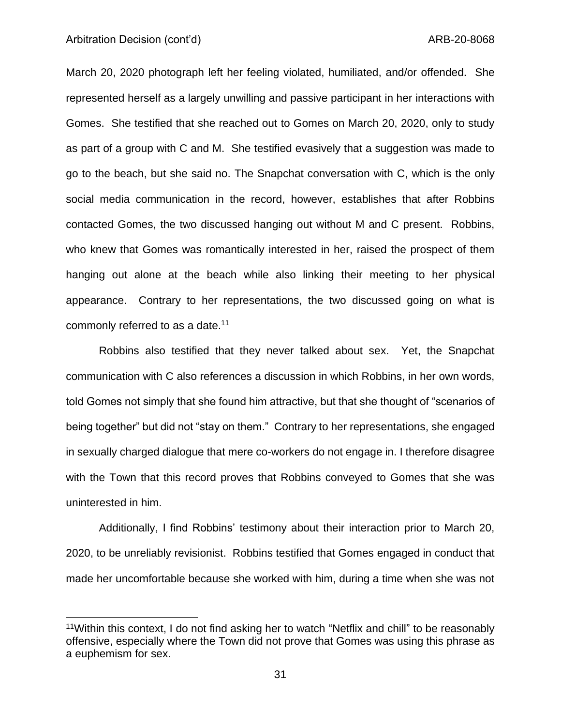#### Arbitration Decision (cont'd) and the context of the context of the ARB-20-8068

March 20, 2020 photograph left her feeling violated, humiliated, and/or offended. She represented herself as a largely unwilling and passive participant in her interactions with Gomes. She testified that she reached out to Gomes on March 20, 2020, only to study as part of a group with C and M. She testified evasively that a suggestion was made to go to the beach, but she said no. The Snapchat conversation with C, which is the only social media communication in the record, however, establishes that after Robbins contacted Gomes, the two discussed hanging out without M and C present. Robbins, who knew that Gomes was romantically interested in her, raised the prospect of them hanging out alone at the beach while also linking their meeting to her physical appearance. Contrary to her representations, the two discussed going on what is commonly referred to as a date.<sup>11</sup>

Robbins also testified that they never talked about sex. Yet, the Snapchat communication with C also references a discussion in which Robbins, in her own words, told Gomes not simply that she found him attractive, but that she thought of "scenarios of being together" but did not "stay on them." Contrary to her representations, she engaged in sexually charged dialogue that mere co-workers do not engage in. I therefore disagree with the Town that this record proves that Robbins conveyed to Gomes that she was uninterested in him.

Additionally, I find Robbins' testimony about their interaction prior to March 20, 2020, to be unreliably revisionist. Robbins testified that Gomes engaged in conduct that made her uncomfortable because she worked with him, during a time when she was not

<sup>&</sup>lt;sup>11</sup>Within this context, I do not find asking her to watch "Netflix and chill" to be reasonably offensive, especially where the Town did not prove that Gomes was using this phrase as a euphemism for sex.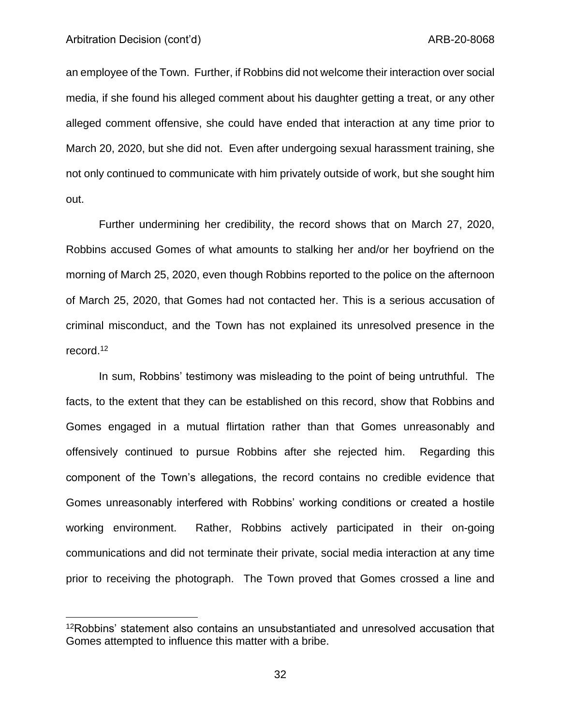#### Arbitration Decision (cont'd) and the context of the context of the ARB-20-8068

an employee of the Town. Further, if Robbins did not welcome their interaction over social media, if she found his alleged comment about his daughter getting a treat, or any other alleged comment offensive, she could have ended that interaction at any time prior to March 20, 2020, but she did not. Even after undergoing sexual harassment training, she not only continued to communicate with him privately outside of work, but she sought him out.

Further undermining her credibility, the record shows that on March 27, 2020, Robbins accused Gomes of what amounts to stalking her and/or her boyfriend on the morning of March 25, 2020, even though Robbins reported to the police on the afternoon of March 25, 2020, that Gomes had not contacted her. This is a serious accusation of criminal misconduct, and the Town has not explained its unresolved presence in the record.<sup>12</sup>

In sum, Robbins' testimony was misleading to the point of being untruthful. The facts, to the extent that they can be established on this record, show that Robbins and Gomes engaged in a mutual flirtation rather than that Gomes unreasonably and offensively continued to pursue Robbins after she rejected him. Regarding this component of the Town's allegations, the record contains no credible evidence that Gomes unreasonably interfered with Robbins' working conditions or created a hostile working environment. Rather, Robbins actively participated in their on-going communications and did not terminate their private, social media interaction at any time prior to receiving the photograph. The Town proved that Gomes crossed a line and

<sup>&</sup>lt;sup>12</sup>Robbins' statement also contains an unsubstantiated and unresolved accusation that Gomes attempted to influence this matter with a bribe.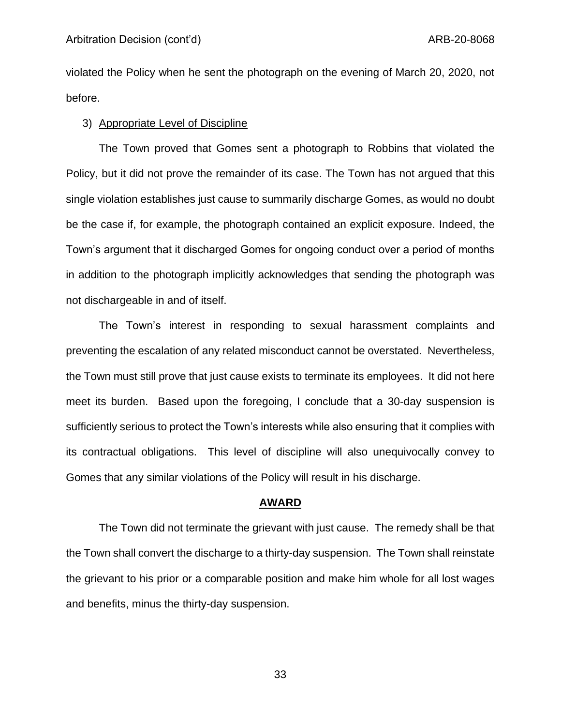violated the Policy when he sent the photograph on the evening of March 20, 2020, not before.

### 3) Appropriate Level of Discipline

The Town proved that Gomes sent a photograph to Robbins that violated the Policy, but it did not prove the remainder of its case. The Town has not argued that this single violation establishes just cause to summarily discharge Gomes, as would no doubt be the case if, for example, the photograph contained an explicit exposure. Indeed, the Town's argument that it discharged Gomes for ongoing conduct over a period of months in addition to the photograph implicitly acknowledges that sending the photograph was not dischargeable in and of itself.

The Town's interest in responding to sexual harassment complaints and preventing the escalation of any related misconduct cannot be overstated. Nevertheless, the Town must still prove that just cause exists to terminate its employees. It did not here meet its burden. Based upon the foregoing, I conclude that a 30-day suspension is sufficiently serious to protect the Town's interests while also ensuring that it complies with its contractual obligations. This level of discipline will also unequivocally convey to Gomes that any similar violations of the Policy will result in his discharge.

#### **AWARD**

The Town did not terminate the grievant with just cause. The remedy shall be that the Town shall convert the discharge to a thirty-day suspension. The Town shall reinstate the grievant to his prior or a comparable position and make him whole for all lost wages and benefits, minus the thirty-day suspension.